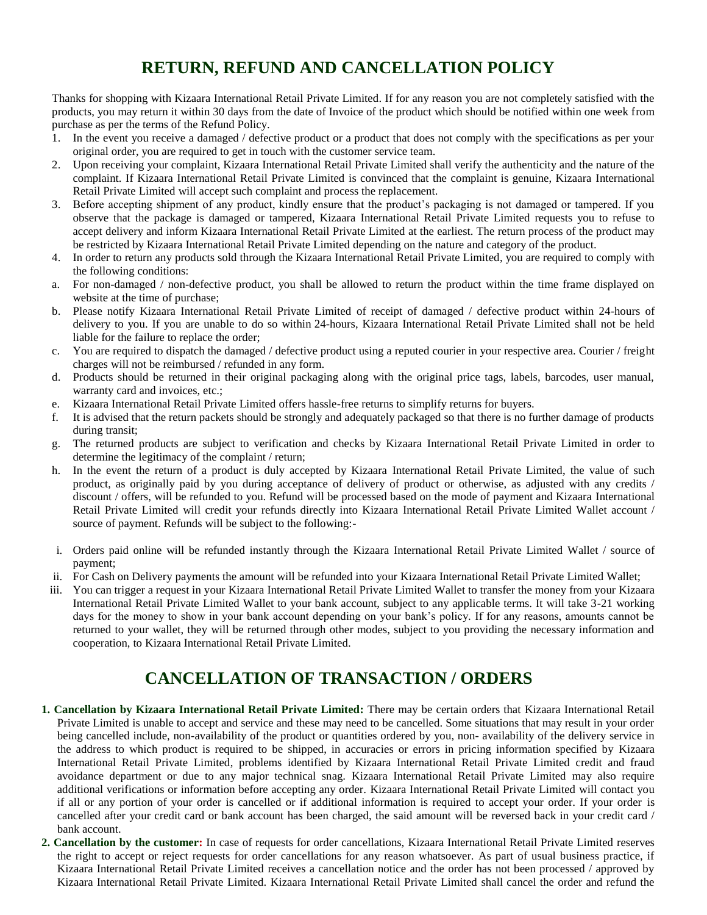## **RETURN, REFUND AND CANCELLATION POLICY**

Thanks for shopping with Kizaara International Retail Private Limited. If for any reason you are not completely satisfied with the products, you may return it within 30 days from the date of Invoice of the product which should be notified within one week from purchase as per the terms of the Refund Policy.

- 1. In the event you receive a damaged / defective product or a product that does not comply with the specifications as per your original order, you are required to get in touch with the customer service team.
- 2. Upon receiving your complaint, Kizaara International Retail Private Limited shall verify the authenticity and the nature of the complaint. If Kizaara International Retail Private Limited is convinced that the complaint is genuine, Kizaara International Retail Private Limited will accept such complaint and process the replacement.
- 3. Before accepting shipment of any product, kindly ensure that the product's packaging is not damaged or tampered. If you observe that the package is damaged or tampered, Kizaara International Retail Private Limited requests you to refuse to accept delivery and inform Kizaara International Retail Private Limited at the earliest. The return process of the product may be restricted by Kizaara International Retail Private Limited depending on the nature and category of the product.
- 4. In order to return any products sold through the Kizaara International Retail Private Limited, you are required to comply with the following conditions:
- a. For non-damaged / non-defective product, you shall be allowed to return the product within the time frame displayed on website at the time of purchase;
- b. Please notify Kizaara International Retail Private Limited of receipt of damaged / defective product within 24-hours of delivery to you. If you are unable to do so within 24-hours, Kizaara International Retail Private Limited shall not be held liable for the failure to replace the order;
- c. You are required to dispatch the damaged / defective product using a reputed courier in your respective area. Courier / freight charges will not be reimbursed / refunded in any form.
- d. Products should be returned in their original packaging along with the original price tags, labels, barcodes, user manual, warranty card and invoices, etc.;
- e. Kizaara International Retail Private Limited offers hassle-free returns to simplify returns for buyers.
- f. It is advised that the return packets should be strongly and adequately packaged so that there is no further damage of products during transit;
- g. The returned products are subject to verification and checks by Kizaara International Retail Private Limited in order to determine the legitimacy of the complaint / return;
- h. In the event the return of a product is duly accepted by Kizaara International Retail Private Limited, the value of such product, as originally paid by you during acceptance of delivery of product or otherwise, as adjusted with any credits / discount / offers, will be refunded to you. Refund will be processed based on the mode of payment and Kizaara International Retail Private Limited will credit your refunds directly into Kizaara International Retail Private Limited Wallet account / source of payment. Refunds will be subject to the following:-
- i. Orders paid online will be refunded instantly through the Kizaara International Retail Private Limited Wallet / source of payment;
- ii. For Cash on Delivery payments the amount will be refunded into your Kizaara International Retail Private Limited Wallet;
- iii. You can trigger a request in your Kizaara International Retail Private Limited Wallet to transfer the money from your Kizaara International Retail Private Limited Wallet to your bank account, subject to any applicable terms. It will take 3-21 working days for the money to show in your bank account depending on your bank's policy. If for any reasons, amounts cannot be returned to your wallet, they will be returned through other modes, subject to you providing the necessary information and cooperation, to Kizaara International Retail Private Limited.

## **CANCELLATION OF TRANSACTION / ORDERS**

- **1. Cancellation by Kizaara International Retail Private Limited:** There may be certain orders that Kizaara International Retail Private Limited is unable to accept and service and these may need to be cancelled. Some situations that may result in your order being cancelled include, non-availability of the product or quantities ordered by you, non- availability of the delivery service in the address to which product is required to be shipped, in accuracies or errors in pricing information specified by Kizaara International Retail Private Limited, problems identified by Kizaara International Retail Private Limited credit and fraud avoidance department or due to any major technical snag. Kizaara International Retail Private Limited may also require additional verifications or information before accepting any order. Kizaara International Retail Private Limited will contact you if all or any portion of your order is cancelled or if additional information is required to accept your order. If your order is cancelled after your credit card or bank account has been charged, the said amount will be reversed back in your credit card / bank account.
- **2. Cancellation by the customer:** In case of requests for order cancellations, Kizaara International Retail Private Limited reserves the right to accept or reject requests for order cancellations for any reason whatsoever. As part of usual business practice, if Kizaara International Retail Private Limited receives a cancellation notice and the order has not been processed / approved by Kizaara International Retail Private Limited. Kizaara International Retail Private Limited shall cancel the order and refund the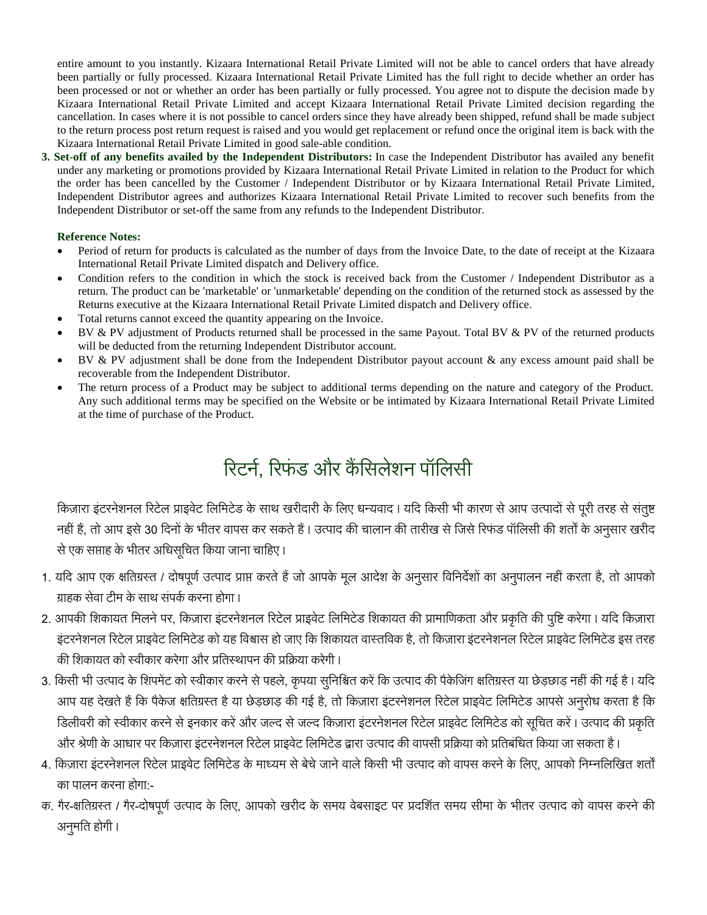entire amount to you instantly. Kizaara International Retail Private Limited will not be able to cancel orders that have already been partially or fully processed. Kizaara International Retail Private Limited has the full right to decide whether an order has been processed or not or whether an order has been partially or fully processed. You agree not to dispute the decision made by Kizaara International Retail Private Limited and accept Kizaara International Retail Private Limited decision regarding the cancellation. In cases where it is not possible to cancel orders since they have already been shipped, refund shall be made subject to the return process post return request is raised and you would get replacement or refund once the original item is back with the Kizaara International Retail Private Limited in good sale-able condition.

**3. Set-off of any benefits availed by the Independent Distributors:** In case the Independent Distributor has availed any benefit under any marketing or promotions provided by Kizaara International Retail Private Limited in relation to the Product for which the order has been cancelled by the Customer / Independent Distributor or by Kizaara International Retail Private Limited, Independent Distributor agrees and authorizes Kizaara International Retail Private Limited to recover such benefits from the Independent Distributor or set-off the same from any refunds to the Independent Distributor.

#### **Reference Notes:**

- Period of return for products is calculated as the number of days from the Invoice Date, to the date of receipt at the Kizaara International Retail Private Limited dispatch and Delivery office.
- Condition refers to the condition in which the stock is received back from the Customer / Independent Distributor as a return. The product can be 'marketable' or 'unmarketable' depending on the condition of the returned stock as assessed by the Returns executive at the Kizaara International Retail Private Limited dispatch and Delivery office.
- Total returns cannot exceed the quantity appearing on the Invoice.
- BV & PV adjustment of Products returned shall be processed in the same Payout. Total BV & PV of the returned products will be deducted from the returning Independent Distributor account.
- BV & PV adjustment shall be done from the Independent Distributor payout account & any excess amount paid shall be recoverable from the Independent Distributor.
- The return process of a Product may be subject to additional terms depending on the nature and category of the Product. Any such additional terms may be specified on the Website or be intimated by Kizaara International Retail Private Limited at the time of purchase of the Product.

# रिटर्न, रिफंड और कैंसिलेशन पॉलिसी

किज़ारा इंटरनेशनल रिटेल प्राइवेट लिमिटेड के साथ खरीदारी के लिए धन्यवाद। यदि किसी भी कारण से आप उत्पादों से परी तरह से संतृष्ट नहीं हैं, तो आप इसे 30 दिनों के भीतर वापस कर सकते हैं। उत्पाद की चालान की तारीख से जिसे रिफंड पॉलिसी की शर्तों के अनुसार खरीद से एक सप्ताह के भीतर अधिसूचित किया जाना चाहिए।

- 1. यदि आप एक क्षतिग्रस्त / दोषपूर्ण उत्पाद प्राप्त करते हैं जो आपके मूल आदेश के अनुसार विनिर्देशों का अनुपालन नहीं करता है, तो आपको ग्राहक सेवा टीम के साथ संपर्क करना होगा।
- 2. आपकी शिकायत मिलने पर, किज़ारा इंटरनेशनल रिटेल प्राइवेट लिमिटेड शिकायत की प्रामाणिकता और प्रकृति की पुष्टि करेगा। यदि किज़ारा इंटरनेशनल रिटेल प्राइवेट लिमिटेड को यह विश्वास हो जाए कि शिकायत वास्तविक है, तो किज़ारा इंटरनेशनल रिटेल प्राइवेट लिमिटेड इस तरह की शिकायत को स्वीकार करेगा और प्रतिस्थापन की प्रक्रिया करेगी।
- 3. किसी भी उत्पाद के शिपमेंट को स्वीकार करने से पहले, कृपया सुनिश्चित करें कि उत्पाद की पैकेजिंग क्षतिग्रस्त या छेड़छाड़ नहीं की गई है। यदि आप यह देखते हैं कि पैकेज क्षतिग्रस्त है या छेड़छाड़ की गई है, तो किज़ारा इंटरनेशनल रिटेल प्राइवेट लिमिटेड आपसे अनुरोध करता है कि डिलीवरी को स्वीकार करने से इनकार करें और जल्द से जल्द किज़ारा इंटरनेशनल रिटेल प्राइवेट लिमिटेड को सूचित करें। उत्पाद की प्रकृति और श्रेणी के आधार पर किज़ारा इंटरनेशनल रिटेल प्राइवेट लिमिटेड द्वारा उत्पाद की वापसी प्रक्रिया को प्रतिबंधित किया जा सकता है।
- 4. किज़ारा इंटरनेशनल रिटेल प्राइवेट लिमिटेड के माध्यम से बेचे जाने वाले किसी भी उत्पाद को वापस करने के लिए, आपको निम्नलिखित शर्तों का पालन करना होगा -
- क. गैर-क्षतिग्रस्त / गैर-दोषपूर्ण उत्पाद के लिए, आपको खरीद के समय वेबसाइट पर प्रदर्शित समय सीमा के भीतर उत्पाद को वापस करने की अनुमति होगी।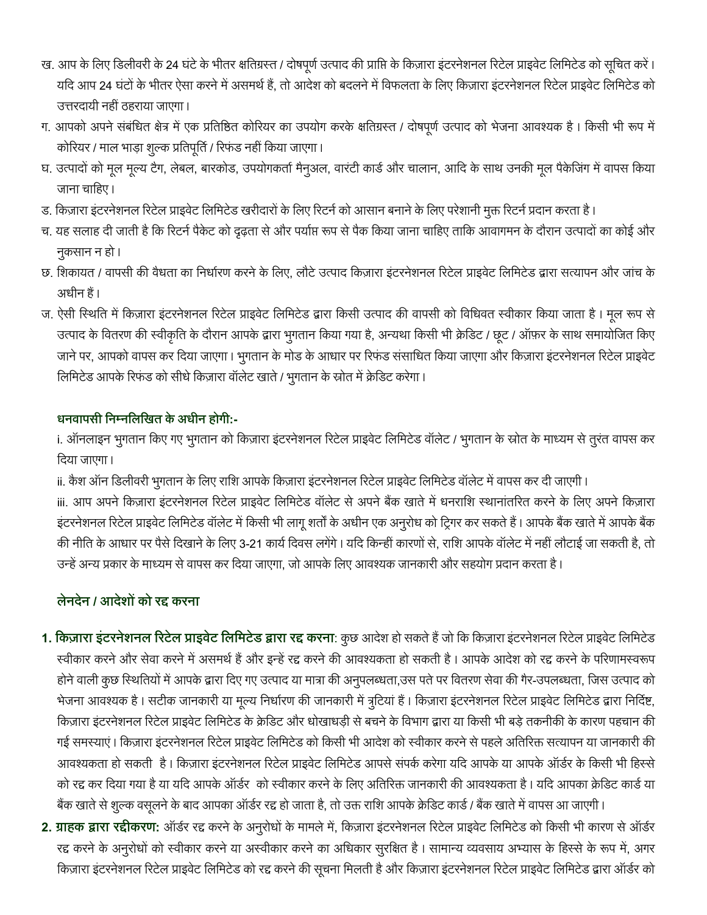- ख. आप के लिए डिलीवरी के 24 घंटे के भीतर क्षतिग्रस्त / दोषपूर्ण उत्पाद की प्राप्ति के किज़ारा इंटरनेशनल रिटेल प्राइवेट लिमिटेड को सूचित करें। यदि आप 24 घंटों के भीतर ऐसा करने में असमर्थ हैं, तो आदेश को बदलने में विफलता के लिए किज़ारा इंटरनेशनल रिटेल प्राइवेट लिमिटेड को उत्तरदायी नहीं ठहराया जाएगा।
- ग. आपको अपने संबंधित क्षेत्र में एक प्रतिष्ठित कोरियर का उपयोग करके क्षतिग्रस्त / दोषपूर्ण उत्पाद को भेजना आवश्यक है। किसी भी रूप में कोरियर / माल भाड़ा शुल्क प्रतिपूर्ति / रिफंड नहीं किया जाएगा।
- घ. उत्पादों को मूल मूल्य टैग, लेबल, बारकोड, उपयोगकर्ता मैनुअल, वारंटी कार्ड और चालान, आदि के साथ उनकी मूल पैकेजिंग में वापस किया जाना चाहिए।
- ड. किज़ारा इंटरनेशनल रिटेल प्राइवेट लिमिटेड खरीदारों के लिए रिटर्न को आसान बनाने के लिए परेशानी मुक्त रिटर्न प्रदान करता है।
- च. यह सलाह दी जाती है कि रिटर्न पैकेट को दृढ़ता से और पर्याप्त रूप से पैक किया जाना चाहिए ताकि आवागमन के दौरान उत्पादों का कोई और नुकसान न हो।
- छ. शिकायत / वापसी की वैधता का निर्धारण करने के लिए, लौटे उत्पाद किज़ारा इंटरनेशनल रिटेल प्राइवेट लिमिटेड द्वारा सत्यापन और जांच के अधीन हैं।
- ज. ऐसी स्थिति में किज़ारा इंटरनेशनल रिटेल प्राइवेट लिमिटेड द्वारा किसी उत्पाद की वापसी को विधिवत स्वीकार किया जाता है। मूल रूप से उत्पाद के वितरण की स्वीकृति के दौरान आपके द्वारा भुगतान किया गया है, अन्यथा किसी भी क्रेडिट / छूट / ऑफ़र के साथ समायोजित किए जाने पर, आपको वापस कर दिया जाएगा। भूगतान के मोड के आधार पर रिफंड संसाधित किया जाएगा और किज़ारा इंटरनेशनल रिटेल प्राइवेट लिमिटेड आपके रिफंड को सीधे किज़ारा वॉलेट खाते / भुगतान के स्रोत में क्रेडिट करेगा।

### **:-**

i. ऑनलाइन भुगतान किए गए भुगतान को किज़ारा इंटरनेशनल रिटेल प्राइवेट लिमिटेड वॉलेट / भुगतान के स्रोत के माध्यम से तुरंत वापस कर दिया जाएगा।

ii. कैश ऑन डिलीवरी भुगतान के लिए राशि आपके किज़ारा इंटरनेशनल रिटेल प्राइवेट लिमिटेड वॉलेट में वापस कर दी जाएगी।

iii. आप अपने किज़ारा इंटरनेशनल रिटेल प्राइवेट लिमिटेड वॉलेट से अपने बैंक खाते में धनराशि स्थानांतरित करने के लिए अपने किज़ारा इंटरनेशनल रिटेल प्राइवेट लिमिटेड वॉलेट में किसी भी लागू शर्तों के अधीन एक अनुरोध को ट्रिगर कर सकते हैं। आपके बैंक खाते में आपके बैंक की नीति के आधार पर पैसे दिखाने के लिए 3-21 कार्य दिवस लगेंगे। यदि किन्हीं कारणों से, राशि आपके वॉलेट में नहीं लौटाई जा सकती है, तो उन्हें अन्य प्रकार के माध्यम से वापस कर दिया जाएगा, जो आपके लिए आवश्यक जानकारी और सहयोग प्रदान करता है।

### **लेनदेन / आदेशों को रद्द करना**

- 1. किज़ारा इंटरनेशनल रिटेल प्राइवेट लिमिटेड द्वारा रद्द करना: कुछ आदेश हो सकते हैं जो कि किज़ारा इंटरनेशनल रिटेल प्राइवेट लिमिटेड स्वीकार करने और सेवा करने में असमर्थ हैं और इन्हें रद्द करने की आवश्यकता हो सकती है। आपके आदेश को रद्द करने के परिणामस्वरूप होने वाली कुछ स्थितियों में आपके द्वारा दिए गए उत्पाद या मात्रा की अनुपलब्धता,उस पते पर वितरण सेवा की गैर-उपलब्धता, जिस उत्पाद को भेजना आवश्यक है। सटीक जानकारी या मूल्य निर्धारण की जानकारी में त्रुटियां हैं। किज़ारा इंटरनेशनल रिटेल प्राइवेट लिमिटेड द्वारा निर्दिष्ट, किज़ारा इंटरनेशनल रिटेल प्राइवेट लिमिटेड के क्रेडिट और धोखाधड़ी से बचने के विभाग द्वारा या किसी भी बड़े तकनीकी के कारण पहचान की गई समस्याएं। किज़ारा इंटरनेशनल रिटेल प्राइवेट लिमिटेड को किसी भी आदेश को स्वीकार करने से पहले अतिरिक्त सत्यापन या जानकारी की आवश्यकता हो सकती है। किज़ारा इंटरनेशनल रिटेल प्राइवेट लिमिटेड आपसे संपर्क करेगा यदि आपके या आपके ऑर्डर के किसी भी हिस्से को रद्द कर दिया गया है या यदि आपके ऑर्डर) को स्वीकार करने के लिए अतिरिक्त जानकारी की आवश्यकता है। यदि आपका क्रेडिट कार्ड या बैंक खाते से शुल्क वसूलने के बाद आपका ऑर्डर रद्द हो जाता है, तो उक्त राशि आपके क्रेडिट कार्ड / बैंक खाते में वापस आ जाएगी।
- 2. ग्राहक द्वारा रद्दीकरण: ऑर्डर रद्द करने के अनुरोधों के मामले में, किज़ारा इंटरनेशनल रिटेल प्राइवेट लिमिटेड को किसी भी कारण से ऑर्डर रद्द करने के अनुरोधों को स्वीकार करने या अस्वीकार करने का अधिकार सुरक्षित है। सामान्य व्यवसाय अभ्यास के हिस्से के रूप में, अगर किज़ारा इंटरनेशनल रिटेल प्राइवेट लिमिटेड को रद्द करने की सूचना मिलती है और किज़ारा इंटरनेशनल रिटेल प्राइवेट लिमिटेड द्वारा ऑर्डर को